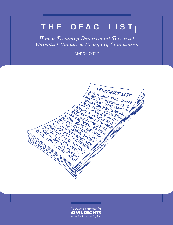## THE OFAC LIST

*How a Treasury Department Terrorist Watchlist Ensnares Everyday Consumers*

**MARCH 2007** 



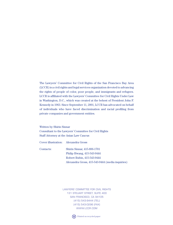The Lawyers' Committee for Civil Rights of the San Francisco Bay Area (LCCR) is a civil rights and legal services organization devoted to advancing the rights of people of color, poor people, and immigrants and refugees. LCCR is affiliated with the Lawyers' Committee for Civil Rights Under Law in Washington, D.C., which was created at the behest of President John F. Kennedy in 1963. Since September 11, 2001, LCCR has advocated on behalf of individuals who have faced discrimination and racial profiling from private companies and government entities.

Written by Shirin Sinnar Consultant to the Lawyers' Committee for Civil Rights Staff Attorney at the Asian Law Caucus

Cover illustration: Alexandra Gross

Contacts: Shirin Sinnar, 415-896-1701 Philip Hwang, 415-543-9444 Robert Rubin, 415-543-9444 Alexandra Gross, 415-543-9444 (media inquiries)

> LAWYERS' COMMITTEE FOR CIVIL RIGHTS 131 steuart street, suite 400 san francisco, ca 94105 (415) 543-9444 (TEL) (415) 543-0296 (fax) www.lccr.com

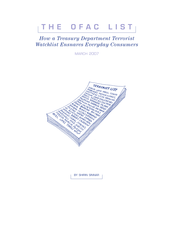# THE OFAC LIST

### How a Treasury Department Terrorist Watchlist Ensnares Everyday Consumers

**MARCH 2007** 



BY SHIRIN SINNAR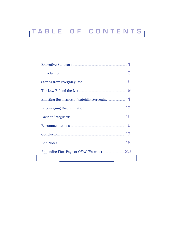# TABLE OF CONTENTS

|                                             | 3  |
|---------------------------------------------|----|
| Stories from Everyday Life                  |    |
| The Law Behind the List                     |    |
| Enlisting Businesses in Watchlist Screening |    |
| Encouraging Discrimination                  |    |
| Lack of Safeguards <b>Example 2</b> 15      |    |
|                                             |    |
|                                             | 17 |
| End Notes                                   | 18 |
| Appendix: First Page of OFAC Watchlist      |    |
|                                             |    |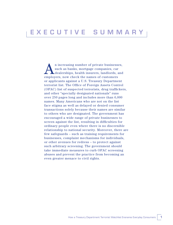An increasing number of private businesses,<br>such as banks, mortgage companies, car<br>dealerships, health insurers, landlords, and such as banks, mortgage companies, car dealerships, health insurers, landlords, and employers, now check the names of customers or applicants against a U.S. Treasury Department terrorist list. The Office of Foreign Assets Control (OFAC) list of suspected terrorists, drug traffickers, and other "specially designated nationals" runs over 250 pages long and includes more than 6,000 names. Many Americans who are not on the list face stigma as well as delayed or denied consumer transactions solely because their names are similar to others who are designated. The government has encouraged a wide range of private businesses to screen against the list, resulting in difficulties for ordinary people even where there is no discernible relationship to national security. Moreover, there are few safeguards – such as training requirements for businesses, complaint mechanisms for individuals, or other avenues for redress – to protect against such arbitrary screening. The government should take immediate measures to curb OFAC screening abuses and prevent the practice from becoming an even greater menace to civil rights.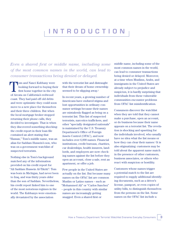### i n t r o d u c t i o n

*Even a shared first or middle name, including some of the most common names in the world, can lead to consumer transactions being denied or delayed.*

Tom and Nanci Kubbany were<br>looking forward to buying the<br>first home together in the city looking forward to buying their first home together in the city of Arcata on California's redwood coast. They had paid off old debts and were optimistic they could soon move to a new place for themselves and their three children. But when the local mortgage broker stopped returning their phone calls, they decided to investigate. That is when they discovered something shocking: the credit report in their loan file contained an alert stating that "Hassan," Tom's middle name, was an alias for Saddam Hussein's son, who was on a government watchlist of suspected terrorists.

Nothing else in Tom's background matched any of the information provided on his credit report for "Ali Saddam Hussein Al-Tikriti": Tom was born in Michigan, had never been to Iraq, and was thirty years older than the son of Saddam. Nevertheless, his credit report linked him to one of the most notorious regimes in the world. The Kubbanys were emotionally devastated by the association

with the terrorist list and distraught that their dream of home ownership seemed to be slipping away.1

In recent years, a growing number of Americans have endured stigma and lost opportunities in ordinary consumer settings because their names are mistakenly flagged as being on a terrorist list. This list of suspected terrorists, narcotics traffickers, and other "specially designated nationals" is maintained by the U.S. Treasury Department's Office of Foreign Assets Control (OFAC), and now includes over 6,000 names. Financial institutions, credit bureaus, charities, car dealerships, health insurers, landlords, and employers are now checking names against the list before they open an account, close a sale, rent an apartment, or offer a job.

Few people in the United States are actually on the list. But because many names on the OFAC list are common Muslim or Latino names – such as "Mohammed Ali" or "Carlos Sanchez" – people in this country with similar names are increasingly getting snagged. Even a shared first or

middle name, including some of the most common names in the world, can lead to consumer transactions being denied or delayed. Moreover, at a time when Muslims, Arabs, and immigrants in the United States are already subject to prejudice and suspicion, it is hardly surprising that individuals from these vulnerable communities encounter problems from OFAC list misidentification.

Consumers discover the watchlist when they are told that they cannot make a purchase, open an account, or do business because their name appears on a terrorist list. The revelation is shocking and upsetting for the individuals involved, who usually have no idea what the list means or how they can clear their names.2 It is also stigmatizing: customers may be told about the apparent name match in the presence of other customers, business associates, or others who react with suspicion or hostility.

Customers whose names trigger a potential match to the list are required to supply additional identifying documents, such as a driver's license, passport, or even copies of utility bills, to distinguish themselves from the persons on the list. Some names on the OFAC list include a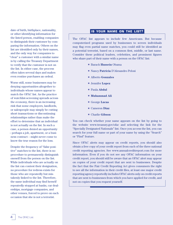date of birth, birthplace, nationality, or other identifying information for the listed person, enabling companies to distinguish their customer by comparing the information. Others on the list are identified only by their names, and the only way for companies to "clear" a customer with a similar name is by calling the Treasury Department to verify that the customer is not on the list. In either case, the process often takes several days and makes even routine purchases an ordeal.

Worse still, some businesses may be denying opportunities altogether to individuals whose names appear to match the OFAC list. As the practice of watchlist-screening spreads across the economy, there is an increasing risk that some employers, landlords, or salespeople may simply be cutting short transactions or discontinuing relationships rather than make the effort to determine that an individual is not actually on the list. In such a case, a person denied an opportunity – perhaps a job, apartment, or a business contract – might never come to know the true reason for the loss.

Despite the frequency of "false positive" matches to the list, there is no procedure to permanently distinguish oneself from the person on the list. While individuals who are actually on the list can contest their designation, no procedure for redress exists for those who are repeatedly but mistakenly linked to the list. Therefore, the same individual may find herself repeatedly stopped at banks, car dealerships, mortgage companies, and other venues, forced to prove on each occasion that she is not a terrorist.

#### **is your name on the list?**

The OFAC list appears to include few Americans. But because computerized programs used by businesses to screen individuals may flag even partial name matches, you could still be identified as a potential terrorist, based on a common first, middle, or last name. Consider these political leaders, celebrities, and prominent figures who share part of their name with a person on the OFAC list:

- **Example Barack Hussein** Obama
- <sup>n</sup> Nancy **Patricia** D'Alesandro Pelosi
- Alberto **Gonzales**
- **F** Jennifer **Lopez**
- Paula **Abdul**
- $\blacksquare$  **Muhammad Ali**
- <sup>n</sup>George **Lucas**
- Cameron **Diaz**
- Charlie **Gibson**

You can check whether your name appears on the list by going to the website www.treasury.gov/ofac and selecting the link for the "Specially Designated Nationals" list. Once you access the list, you can search for your full name or part of your name by using the "Search" or "Find" feature.

Since OFAC alerts may appear on credit reports, you should also obtain a free copy of your credit report from each of the three national credit reporting agencies. See www.annualcreditreport.com for more information. Even if you do not see any OFAC information on your credit report, you should still be aware that an OFAC alert may appear on copies of your credit report that are sent to businesses. Despite the fact that the Fair Credit Reporting Act gives consumers the right to see all the information in their credit files, at least one major credit reporting agency reportedly includes OFAC alerts only on credit reports that are sent to businesses from which you have applied for credit, and not on copies that you request yourself.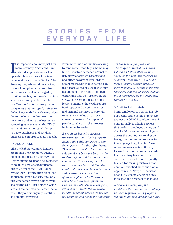### STORIES FROM e v e r y d a y l i f e

I t is impossible to know just how many ordinary Americans have endured stigma, delay, or lost opportunities because of mistaken name matches to the OFAC list. The Treasury Department does not keep count of complaints received from individuals mistakenly flagged by OFAC screening, nor does it maintain any procedure by which people can file complaints against private companies that improperly refuse to do business with them.3 Nevertheless, the following examples describe how more and more businesses are screening names against the OFAC list – and how Americans' ability to make purchases and conduct business is compromised as a result.

#### finding a home:

Like the Kubbanys, more families are finding their dream of buying a home jeopardized by the OFAC list. Before extending financing, mortgage companies now check applicants directly against the OFAC list or review OFAC information from loan applicants' credit reports. Similarly, title companies screen homebuyers against the OFAC list before closing a sale. Families may be denied loans when they are wrongfully identified as potential terrorists.

Even individuals or families seeking to rent, rather than buy, a home may find themselves screened against the list. Many apartment associations and attorneys advise landlords to screen potential tenants before signing a lease or require tenants to sign a statement in the rental application confirming that they are not on the OFAC list.4 Services used by landlords to examine the credit reports, bankruptcy and eviction records, and criminal histories of potential tenants now include a terrorist screening feature.<sup>5</sup> Examples of people caught up in this process include the following:

*A couple in Phoenix, Arizona appeared for their closing appointment with a title company to sign the paperwork for their first home. They were stunned to hear that the sale could not be closed because the husband's first and last name (both common Latino names) matched an entry on the terrorist list. The OFAC list did not include additional information, such as a date of birth or place of birth, which could be used to distinguish the two individuals. The title company refused to complete the home sale, but did not know how to resolve the name match and asked the homebuy-*

*ers themselves for guidance. The couple contacted numerous federal and state officials and agencies for help, but received no answers. Only after LCCR and a local attorney became involved were they able to persuade the title company that the husband was not the same person on the OFAC list. (Source: LCCR files)*

#### applying for a job:

Some employers are screening job applicants and existing employees against the OFAC list, often through commercially available services that perform employee background checks. More and more employers across the country are relying on background screening services to investigate job applicants. These screening services traditionally focused on criminal records, credit histories, drug tests, and other such records, and were frequently blamed for making mistakes that deprived qualified individuals of job opportunities. Now, the inclusion of an OFAC name check has only increased the prospect of lost jobs.

*A California company that facilitates the auctioning of salvage vehicles required all employees to submit to an extensive background*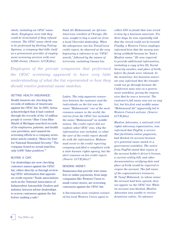*check, including an OFAC name check. Employees were told they could be terminated if they refused consent. The OFAC name check was to be performed by Sterling Testing Systems, a company that bills itself as a preeminent provider of employment screening services with over 6,000 clients. (Source: LCCR files)*

*Saad Ali Muhammad, an African American resident of Chicago, Illinois, sought to buy a used car from a local Chevrolet dealership. When the salesperson ran his TransUnion credit report, he observed at the very beginning a reference to an "OFAC search," followed by the names of terrorists, including Osama bin* 

*Employees of the private companies that performed the OFAC screening appeared to have very little understanding of what the list represented or how they should resolve potential name matches.*

#### getting health insurance:

Health insurers are checking the records of millions of Americans against the OFAC list. In 2003, Aetna acknowledged that it had combed through the records of the 13 million people it covers.6 Blue Cross Blue Shield of Michigan searched records of its employees, patients, and health care providers, and vaunted its screening efforts in a company newsletter article entitled, "Blues Do Part for National Homeland Security." The company found no actual matches, only 6,000 "false positives."7

#### buying <sup>a</sup> car:

Car dealerships are now checking customer names against the OFAC list, either directly or through reviewing OFAC information that appears on credit reports.8 Trade associations such as the National Association of Independent Automobile Dealers and industry lawyers advise dealerships to screen customers against the list before making a sale.9

*Laden. The only apparent connection between the customer and the individuals on the list was the name "Muhammad," one of the most common names in the world; the entries from the OFAC list included the name "Muhammad" as middle names. The credit report did not explain what OFAC was, why the information was included, or what the user of the credit report should do with the information. Muhammad wrote to the credit reporting company and filed a complaint with a state human rights agency, but the alert remains on his credit report. (Source: LCCR files)10*

#### sending money:

Businesses that provide wire transfers or online payments, from large companies like Western Union to small corner stores, are screening customers against the OFAC list.

*A Sacramento-area resident contacted his local Western Union agent to* 

*collect \$50 in funds that was wired to him by a business associate. For three days, he was repeatedly told that the record could not be located. Finally, a Western Union employee informed him that the money was being withheld because he "had a Muslim name." He was required to provide additional information, including a copy of his ID, Social Security number, and place of birth, before the funds were released. In the meantime, his business associate was informed that the transfer could not go through because the California man was on a government watchlist, giving the impression that he was a terrorist. The customer's full name was not on any list, but his first and middle name "Mohammed Ali" apparently led to Western Union's actions. (Source: LCCR files)* 

*Muslim Advocates, a national civil rights advocacy organization, was informed that PayPal, a service that facilitates online payments, had blocked its account because of a potential name match to a government watchlist. The notice from PayPal stated that copies of the account holder's driver's license, a current utility bill, and other documentation verifying date and place of birth would be required to reopen the account. The full name of the organization's treasurer, M. Yusuf Mohamed, in whose name the account had been opened, does not appear on the OFAC list. While its account was blocked, Muslim Advocates was unable to receive donations online. No advance*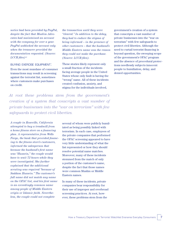*notice had been provided by PayPal, despite the fact that Muslim Advocates had maintained an account with the company for over a year. PayPal unblocked the account only when the treasurer provided the documentation requested. (Source: LCCR files)11*

#### buying exercise equipment:

Even the most mundane of consumer transactions may result in screening against the terrorist list, sometimes where customers make purchases on credit.

*the transaction until they were "cleared." In addition to the delay, they had to endure the stigma of being informed – in the presence of other customers – that the husband's Middle Eastern name was the reason they could not make the purchase. (Source: LCCR files)*.

These stories likely represent only a small fraction of the incidents facing average people in the United States whose only fault is having the "wrong" name. All of these incidents created confusion, anxiety, and stigma for the individuals involved,

*At root these problems stem from the government's creation of a system that conscripts a vast number of private businesses into the "war on terrorism" with few safeguards to protect civil liberties.*

*A couple in Roseville, California attempted to buy a treadmill from a home fitness store on a financing plan. A representative from Wells Fargo, the bank that provided financing to the fitness store's customers, informed the salesperson that because the husband's first name was "Hussein," the couple would have to wait 72 hours while they were investigated. She further explained that the additional scrutiny was required "because of Saddam Hussein." The customer's full name did not match any name on the OFAC list, and his first name is an exceedingly common name among people of Middle Eastern origin or Islamic faith. Nevertheless, the couple could not complete* 

several of whom were publicly humiliated as being possibly linked with terrorism. In each case, employees of the private companies that performed the OFAC screening appeared to have very little understanding of what the list represented or how they should resolve potential name matches. Moreover, many of these incidents stemmed from the match of only a portion of the customer's name, despite the fact that those names were common Muslim or Middle Eastern names.

In many of these incidents, private companies bear responsibility for their use of improper and overbroad screening practices. At root, however, these problems stem from the

government's creation of a system that conscripts a vast number of private businesses into the "war on terrorism" with few safeguards to protect civil liberties. Although the need to curtail terrorist financing is beyond question, the sweeping scope of the government's OFAC program and the absence of procedural protections needlessly subjects innocent people to humiliation, delay, and denied opportunities.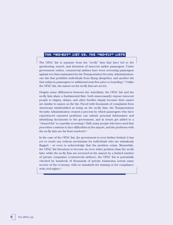#### **the "no-buy" list vs. the "no-fly" lists**

The OFAC list is separate from the "no-fly" lists that have led to the questioning, search, and detention of innocent airline passengers. Under government orders, commercial airlines have been screening passengers against two lists maintained by the Transportation Security Administration: one list that prohibits individuals from flying altogether, and another list that subjects passengers to additional searches prior to boarding.12 Unlike the OFAC list, the names on the no-fly lists are secret.

Despite some differences between the watchlists, the OFAC list and the no-fly lists share a fundamental flaw: both unnecessarily expose innocent people to stigma, delays, and other hurdles simply because their names are similar to names on the list. Faced with thousands of complaints from Americans misidentified as being on the no-fly lists, the Transportation Security Administration created a process by which passengers who have experienced repeated problems can submit personal information and identifying documents to the government, and in return get added to a "cleared list" to expedite screening.13 Still, many people who have used that procedure continue to face difficulties at the airport, and the problems with the no-fly lists are far from resolved.14

In the case of the OFAC list, the government is even further behind: it has yet to create any redress mechanism for individuals who are mistakenly flagged – or even to acknowledge that the problem exists. Meanwhile, the OFAC list threatens to become an even wider problem than the no-fly lists: while the no-fly lists are screened at the airport by a limited number of private companies (commercial airlines), the OFAC list is potentially checked by hundreds of thousands of private businesses across many sectors of the economy, with no standards for training or for compliance with civil rights.15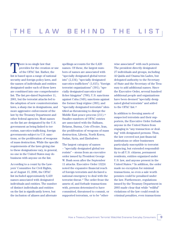There is no single law that<br>provides for the creation<br>of the OFAC list. Rather, t provides for the creation or use of the OFAC list. Rather, the list is based upon a range of national security and foreign policy laws, and the names of individuals and entities designated under each of these laws are combined into one comprehensive list. The list pre-dated September 11, 2001, but the terrorist attacks led to the adoption of new counterterrorism laws, a sharp rise in designations, and more aggressive enforcement of the law by the Treasury Department and other federal agencies. Most names on the list are designated by the U.S. government as being linked to terrorism, narcotics trafficking, foreign governments subject to U.S. sanctions, or the proliferation of weapons of mass destruction. While the specific requirements of the laws giving rise to these designations vary, in general, no one in the United States may do business with anyone on the list.

According to a count by the Lawyers' Committee for Civil Rights, as of August 15, 2006, the OFAC list included approximately 6,420 names associated with designated individuals and entities. The number of distinct individuals and entities on the list is significantly lower, but the inclusion of aliases and alternate spellings accounts for the 6,420 names. Of these, the largest numbers of names are associated with "specially designated global terrorists" (2,134); "specially designated narcotics traffickers" (1,615); "foreign terrorist organizations" (391); "specially designated narcotics trafficker kingpins" (700); U.S. sanctions against Cuba (549); sanctions against the former Iraqi régime (383); and "specially designated terrorists" identified as threatening to disrupt the Middle East peace process  $(211).^{16}$ Smaller numbers of OFAC entries are associated with the Balkans, Belarus, Burma, Cote d'Ivoire, Iran, the proliferation of weapons of mass destruction, Liberia, North Korea, Sudan, Syria, and Zimbabwe.

The largest category of names – "specially designated global terrorists" – stems from an executive order issued by President George W. Bush soon after the September 11 attacks. Executive Order 13224 noted the expansive financial reach of foreign terrorists and declared a national emergency to deal with the terrorist threat.17 The order froze the assets of, and forbade transactions with, persons determined to have committed, threatened to commit, or supported terrorism, or to be "other-

wise associated" with such persons. The president directly designated 27 individuals and groups, including Al Qaida and Osama bin Laden, but delegated authority to the Secretary of State and the Secretary of the Treasury to add additional names. Since the Executive Order, several hundred additional people and organizations have been deemed "specially designated global terrorists" and added to the OFAC list.<sup>18</sup>

In addition to freezing assets of suspected terrorists and their supporters, the Executive Order forbade anyone in the United States from engaging in "any transaction or dealing" with designated persons. Thus, the law covered not just financial institutions or other businesses particularly susceptible to terrorist financing, but extended responsibility to all U.S. citizens, permanent residents, entities organized under U.S. law, and anyone present in the United States.19 In addition, the order made no exception for minimal transactions, so even a sale worth pennies could be penalized under the law. Furthermore, regulations issued by the Treasury Department in 2003 made clear that while "willful" violations of the law could result in criminal penalties, even transactions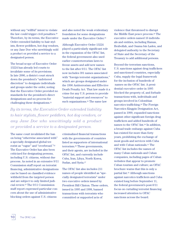without any "willful" intent to violate the law could trigger civil penalties.20 Therefore, by its terms, the Executive Order extended liability to hair stylists, flower peddlers, hot dog vendors, or any Jane Doe who unwittingly sold a product or provided a service to a designated person.

The broad scope of Executive Order 13224 has already led courts to invalidate some of its provisions. In late 2006, a district court struck down the president's "unfettered discretion" to designate individuals and groups under the order, noting that the Executive Order provided no standards for the president's direct designations and no process for challenging these designations.21

and also noted the weak evidentiary foundation for some designations made under the Executive Order.24

Although Executive Order 13224 played a particularly significant role in the expansion of the OFAC list, the federal government also used earlier counterterrorism laws to freeze assets and add new names to the list after 9/11. The OFAC list now includes 391 names associated with "foreign terrorist organizations," which are groups designated under the 1996 Antiterrorism and Effective Death Penalty Act. That law made it a crime for any U.S. person to provide "material support and resources" to such organizations.<sup>25</sup> The same law

*By its terms, the Executive Order extended liability to hair stylists, flower peddlers, hot dog vendors, or any Jane Doe who unwittingly sold a product or provided a service to a designated person.*

The same court invalidated the ban on being "otherwise associated with" a specially designated global terrorist as "vague" and "overbroad."22 The Executive Order has also been criticized for designating persons, including U.S. citizens, without due process. As noted in an extensive 9/11 Commission staff report on terrorist financing, administrative designations can be based on classified evidence withheld from the targeted person and are subject to only limited judicial review.23 The 9/11 Commission staff report expressed particular concern about the use of administrative blocking orders against U.S. citizens

criminalized financial transactions with the governments of countries listed as supporters of international terrorism.26 These governments, and their agents, are included in the OFAC list, and currently include Cuba, Iran, Libya, North Korea, Sudan, and Syria.27

The OFAC list also includes 211 names of people identified as "specially designated terrorists" under two executive orders issued by President Bill Clinton. These orders, issued in 1995 and 1998, banned transactions with terrorists who committed or supported acts of

violence that threatened to disrupt the Middle East peace process.28 The executive orders named 16 individuals and entities, including Hamas, Hezbollah, and Osama bin Laden, and delegated authority to the Secretary of State and the Secretary of the Treasury to add additional persons.

Beyond the terrorism sanctions, U.S. sanctions against drug traffickers and sanctioned countries, especially Cuba, supply the legal framework for the inclusion of hundreds of names on the OFAC list. A presidential executive order in 1995 blocked the property of, and forbade transactions with, individuals and groups involved in Colombian narcotics trafficking.29 The Foreign Narcotics Kingpin Designation Act, passed in 1999, expanded sanctions against other significant foreign drug traffickers and added hundreds of names to the OFAC list.30 In addition, a broad trade embargo against Cuba has existed for more than forty years, prohibiting the exchange of most goods and services with Cuba and with Cuban nationals.31 The OFAC list includes the names of many Cuban nationals and Cuban companies, including pages of Cuban websites that appear to promote Cuban tourism and culture; an OFAC brochure warns that this is only a partial list.32 Although sanctions against narcotics traffickers and Cuba existed long before September 11, the federal government's post-9/11 focus on curtailing terrorist financing increased attention to OFAC sanctions across the board.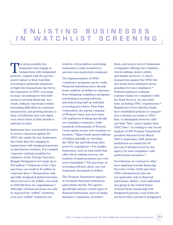### e n l i s t i n g b u s i n e s s e s IN WATCHLIST SCREENING

The steep penalties for businesses that engage in transactions with designated persons, coupled with the government's failure to limit watchlist screening to particular industries or high-risk transactions, has led to the expansion of OFAC screening in many circumstances with little nexus to terrorist financing. As a result, ordinary Americans endure increasing difficulties in consumer transactions, and growing threats to their civil liberties and civil rights, even where there is little benefit to national security.

Businesses have a powerful incentive to screen customers against the OFAC list: under the law, businesses face hefty fines for engaging in transactions with designated persons or sanctioned countries. For example, corporate criminal penalties for violations of the Foreign Narcotics Kingpin Designation Act range up to \$10 million.33 Violations of the Cuba sanctions can result in \$1 million in corporate fines.34 Transactions with specially designated global terrorists, where proven to be willful, can result in \$500,000 fines for organizations.35 Although criminal sanctions can only be imposed for "willful" violations, even non-"willful" violations can

result in civil penalties, motivating businesses to take measures to prevent even inadvertent violations.

The implementation of OFAC compliance programs can be costly. Financial institutions have already borne millions of dollars in expenses from designing compliance programs, purchasing screening software, and instructing staff on watchlist screening procedures. First Data Corporation, the parent company of Western Union, has more than 150 employees working specifically on compliance measures, while hundreds of thousands of Western Union agents screen wire transfers on location.36 Major banks spend millions of dollars annually on checking the OFAC list and following other post-9/11 regulations.37 For smaller businesses, such as mini-marts that offer check cashing services, the burdens of implementation are even more formidable.38 The purchase of screening software alone can cost businesses thousands of dollars.

The Treasury Department appears to scrutinize financial institutions particularly strictly. The agency specifically advises certain types of financial institutions, such as banks, insurance companies, securities

firms, and money service businesses (companies offering wire transfers, check-cashing, money orders, and similar services), to check transactions against the OFAC list and warns these industries about penalties for non-compliance.39 Federal regulators routinely examine banks for compliance with the Bank Secrecy Act and other laws, including OFAC requirements.40 Regulators review whether banks have established policies to compare new customer accounts to OFAC lists, to distinguish between valid and false "hits," and to update their OFAC lists.41 According to one recent analysis of 400 Treasury Department penalties disclosed from March 2003 to September 2006, financial institutions accounted for 90 percent of all fines levied by the agency for non-compliance with antiterrorism measures.42

Nevertheless, in contrast to other laws targeting terrorist financing, Executive Order 13224 and other OFAC-administered rules are not applicable only to financial institutions. Rather, every individual and group in the United States is barred from transacting with designated persons, even if they do not know that a person is designated,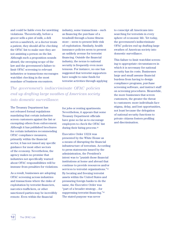and could be liable even for unwitting violations. Theoretically, before a grocer sells a pint of milk, a deli serves a sandwich, or a doctor treats a patient, they should all be checking the OFAC list to make sure they are not assisting a person on the list. Although such a proposition sounds absurd, the sweeping scope of the law and the government's failure to limit OFAC screening to relevant industries or transactions encourages watchlist checking in the most mundane of business encounters.

industry, some transactions – such as financing the purchase of a treadmill through a home fitness store – seem to present little risk of exploitation. Similarly, health insurance policies seem to present an unlikely avenue for terrorist financing. Outside the financial industry, the nexus to national security is frequently even more tenuous. For instance, no one has suggested that terrorist supporters have sought to raise funds for terrorist activities through applying

*The government's indiscriminate OFAC policies end up drafting large swathes of American society into domestic surveillance.*

The Treasury Department has not released formal regulations mandating that certain industries screen customers against the list or exempting others from enforcement. Although it has published brochures for certain industries recommending OFAC compliance measures, primarily within the financial sector, it has not issued any specific guidance for most other sectors of the economy. Nevertheless, the agency makes no promise that industries not specifically warned about OFAC responsibilities will be immune from penalties for violations.

As a result, businesses are adopting OFAC screening across industries and transactions where the risks of exploitation by terrorist financiers, narcotics traffickers, or other sanctioned parties may be incredibly remote. Even within the financial

for jobs or renting apartments. Nevertheless, it appears that some Treasury Department officials have gone so far as to encourage employers to check the OFAC list during their hiring process.43

Executive Order 13224 was presented by the White House as a means of disrupting the financial infrastructure of terrorism. According to press statements issued by the administration, the President's intent was to "punish those financial institutions at home and abroad that continue to provide resources and/or services to terrorist organizations."44 By locating and freezing terrorist assets within the United States and pressuring foreign banks to do the same, the Executive Order was "part of a broader strategy…for suppressing terrorist financing."45 The stated purpose was never

to conscript all Americans into searching for terrorists in every sphere of economic life. Yet today, the government's indiscriminate OFAC policies end up drafting large swathes of American society into domestic surveillance.

This failure to limit watchlist screening to appropriate circumstances in which it is necessary for national security has its costs. Businesses large and small assume financial burdens from having to design compliance programs, purchase screening software, and instruct staff on screening procedures. Meanwhile, the more businesses that screen customers, the greater the threat to customers: more individuals face stigma, delay, and lost opportunities, not least because the delegation of national security functions to private citizens fosters profiling and discrimination.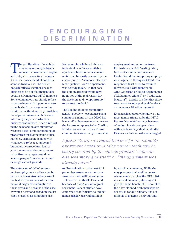### e n c o u r a g i n g d i s c r i m i n a t i o n

The proliferation of watchlist screening not only subjects innocent consumers to stigma and delays in transacting business; it also increases the likelihood that some individuals will be denied opportunities altogether because businesses do not distinguish false positives from actual OFAC matches. Some companies may simply refuse to do business with a person whose name is similar to a name on the OFAC list, without actually resolving the apparent name match or even informing the person why their business was refused. Such a refusal might be based on any number of reasons: a lack of understanding of procedures for distinguishing false matches, laziness in dealing with what seems to be a complicated bureaucratic procedure, fear of government penalties, misdirected patriotism, or simple prejudice against people from certain ethnic or religious backgrounds.

The extension of OFAC screening to employment and housing is particularly worrisome because of the historic prevalence of race and national origin discrimination in these areas and because of the ease by which decisions based on the list can be masked as something else.

For example, a failure to hire an individual or offer an available apartment based on a false name match can be easily covered by the classic pretext: "someone else was more qualified" or "the apartment was already taken." In that case, the person affected would have no notice of the real reason for the decision, and no opportunity to contest the denial.

The likelihood of discrimination against people whose names seem similar to a name on the OFAC list is magnified because most names on the list are, or appear to be, Muslim, Middle Eastern, or Latino. These communities are already vulnerable

employment and other contexts. For instance, a 2003 "testing" study by the Discrimination Research Center found that temporary employment agencies throughout California responded least often to resumes they received with identifiable Arab-American or South Asian names ("Mohammed Ahmed" or "Abdul-Aziz Mansour"), despite the fact that these resumes showed equal qualifications as resumes with other names.46

Even a salesperson who knows that most names triggered by the OFAC list are false matches may, because of underlying stereotypes, view with suspicion any Muslim, Middle Eastern, or Latino customers flagged

*A failure to hire an individual or offer an available apartment based on a false name match can be easily covered by the classic pretext: "someone else was more qualified" or "the apartment was already taken."*

to discrimination in the post-9/11 period because some Americans associate them with terrorism or violence in the Middle East, and because of rising anti-immigrant sentiment. Recent studies have confirmed that "Muslim-sounding" names trigger discrimination in

by watchlist screening. While she may presume that a white person whose name matches the OFAC list is a mistaken match, she may not give the same benefit of the doubt to the olive-skinned Arab man with an accent. In today's climate, it is not difficult to imagine a nervous land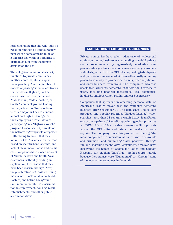lord concluding that she will "take no risks" in renting to a Middle Eastern man whose name appears to be on a terrorist list, without bothering to distinguish him from the person actually on the list.

The delegation of national security functions to private citizens has, in other contexts, already spurred racial profiling. After September 11, dozens of passengers were arbitrarily removed from flights by airline crews based on their perceived Arab, Muslim, Middle Eastern, or South Asian background, leading the Department of Transportation to order major airlines to conduct annual civil rights trainings for their employees.47 Truck drivers participating in a "Highway Watch" program to spot security threats on the nation's highways told a reporter – after being trained – that they looked out for "Islamics" on the road based on their turbans, accents, and lack of cleanliness. Banks and credit card companies have closed accounts of Middle Eastern and South Asian customers, without providing an explanation, for reasons that may have been discriminatory.49 Now, the proliferation of OFAC screening makes individuals of Muslim, Middle Eastern, and Latino background even more vulnerable to discrimination in employment, housing, retail establishments, and other public accommodations.

#### **marketing terrorist screening**

Private companies have taken advantage of widespread confusion among businesses surrounding post-9/11 private sector requirements by aggressively marketing new products designed to screen consumers against government watchlists, particularly the OFAC list. Appealing to both profit and patriotism, vendors market these often costly screening products as a way to protect the country, one's reputation, and one's business from fraud. The companies advertise specialized watchlist screening products for a variety of users, including financial institutions, title companies, landlords, employers, non-profits, and car businesses.<sup>50</sup>

Companies that specialize in amassing personal data on Americans readily moved into the watchlist screening business after September 11. The data giant ChoicePoint produces one popular program, "Bridger Insight," which searches more than 24 separate watch lists.<sup>51</sup> TransUnion, one of the top three U.S. credit reporting agencies, promotes an "OFAC Advisor" feature that screens credit applicants against the OFAC list and prints the results on credit reports. The company touts this product as offering "the most comprehensive international list of known terrorists and criminals" and minimizing "false positives" through "unique" matching technology.52 Consumers, however, have discovered the names of Osama bin Laden and Saddam Hussein's son on their TransUnion credit reports, merely because their names were "Muhammad" or "Hassan," some of the most common names in the world.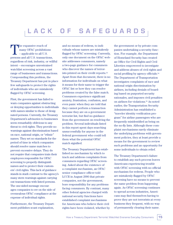### L A C K O F S A F E G U A R D S

The expansive reach of<br>
— applicable to all U.S. many OFAC prohibitions persons and all U.S. transactions, regardless of risk, industry, or willful intent – encourages unrestrained watchlist screening across a vast range of businesses and transactions. Compounding this problem, the Treasury Department has put in place few safeguards to protect the rights of individuals who are mistakenly flagged by OFAC screening.

First, the government has failed to warn companies against obstructing or denying opportunities to individuals with names similar to those of designated persons. Currently, the Treasury Department's advisories to businesses seem remarkably oblivious to any threat to civil rights. They provide no warnings against discrimination based on race, national origin, or "ethnic" names. They set no standards for the period of time in which companies should resolve name matches to prevent excessive delays. They do not require that companies train their employees responsible for OFAC screening to properly distinguish names and to protect their customers' civil rights. This lack of guidance stands in stark contrast to the agency's many stern warnings against carrying out transactions with listed persons. The one-sided message encourages companies to err on the side of overzealous OFAC compliance at the expense of individual rights.

Furthermore, the Treasury Department publishes scant explanation,

and no means of redress, to individuals whose names are mistakenly flagged by OFAC screening. Currently, only one document on the OFAC website addresses consumers, namely a two-page guidance for consumers who discover the names of terrorists printed on their credit reports.53 Apart from that document, there is no information for individuals on what it means for their name to trigger the OFAC list or how they can resolve problems created by the false match. Consumers experience significant anxiety, frustration, confusion, and even panic when they are told that they cannot perform a transaction because they are on a government terrorist list, but find no guidance from the government on resolving the problem. Several individuals listed in this report spent days searching unsuccessfully for anyone in the federal government who could tell them what the potential OFAC match signified.

The Treasury Department has established no mechanism by which to track and address complaints from consumers regarding OFAC screening. Asked about the existence of a complaint mechanism, an OFAC senior compliance officer told LCCR in August 2006 that private companies, not the government, bore responsibility for any problems facing consumers. By contrast, many other federal agencies charged with national security functions have established complaint mechanisms for Americans who believe their civil rights have been violated, whether by

the government or by private companies undertaking a security function. For example, the Department of Homeland Security has created an Office for Civil Rights and Civil Liberties empowered to investigate and address abuses of civil rights and racial profiling by agency officials.54 The Department of Transportation investigates complaints of race and national origin discrimination by airlines, including denials of boarding based on purported security rationales, and imposes civil penalties on airlines for violations.55 As noted earlier, the Transportation Security Administration has established a "traveler identity verification program" for airline passengers who are frequently misidentified as being on the no-fly lists. Although these complaint mechanisms rarely eliminate the underlying problems with government policies, they at least provide a means for the government to review such problems and an opportunity for some individuals to obtain relief.

The Treasury Department's failure to establish any such process leaves Americans experiencing trouble with OFAC screening with no official mechanism for redress. People who are mistakenly flagged by OFAC screening have no means to prevent the same problem from happening again. As OFAC screening continues to spread across industries, Americans may find themselves having to prove they are not terrorists at every business they frequent, with no way of permanently clearing their name.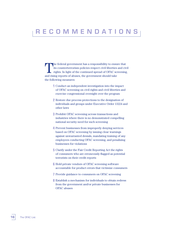### r e c o m m e n d a t i o n s

The federal government has a responsibility to ensure that its counterterrorism policies respect civil liberties and civil rights. In light of the continued spread of OFAC screening, and rising reports of abuses, the government should take the following measures:

- **1** Conduct an independent investigation into the impact of OFAC screening on civil rights and civil liberties and exercise congressional oversight over the program
- **2** Restore due process protections to the designation of individuals and groups under Executive Order 13224 and other laws
- **3** Prohibit OFAC screening across transactions and industries where there is no demonstrated compelling national security need for such screening
- **4** Prevent businesses from improperly denying services based on OFAC screening by issuing clear warnings against unwarranted denials, mandating training of any employees conducting OFAC screening, and penalizing businesses for violations
- **5** Clarify under the Fair Credit Reporting Act the rights of consumers who are erroneously flagged as potential terrorists on their credit reports
- **6** Hold private vendors of OFAC screening software accountable for product errors that victimize consumers
- **7** Provide guidance to consumers on OFAC screening
- **8** Establish a mechanism for individuals to obtain redress from the government and/or private businesses for OFAC abuses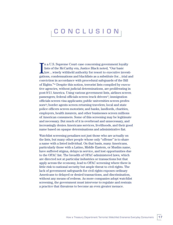### c o n c l u s i o n

In a U.S. Supreme Court case concerning government loyalty<br>lists of the McCarthy era, Justice Black noted, "Our basic<br>law…wisely withheld authority for resort to executive investi-<br>string condemnations and blacklists as a n a U.S. Supreme Court case concerning government loyalty lists of the McCarthy era, Justice Black noted, "Our basic gations, condemnations and blacklists as a substitute for…trial and conviction in accordance with procedural safeguards of the Bill of Rights."56 Despite this notion, terrorist lists compiled by executive agencies, without judicial determinations, are proliferating in post-9/11 America. Using various government lists, airlines screen passengers; federal officials screen truck drivers57; immigration officials screen visa applicants; public universities screen professors<sup>58</sup>; border agents screen returning travelers; local and state police officers screen motorists; and banks, landlords, charities, employers, health insurers, and other businesses screen millions of American consumers. Some of this screening may be legitimate and necessary. But much of it is overbroad and unnecessary, and increasingly denies Americans services, livelihoods, and their good name based on opaque determinations and administrative fiat.

Watchlist screening penalizes not just those who are actually on the lists, but many other people whose only "offense" is to share a name with a listed individual. On that basis, many Americans, particularly those with a Latino, Middle Eastern, or Muslim name, have suffered stigma, delays in service, and lost opportunities due to the OFAC list. The breadth of OFAC-administered laws, which are directed not at particular industries or transactions but that apply across the economy, lead to OFAC screening where there is little risk to national security but ample threat to civil rights. The lack of government safeguards for civil rights exposes ordinary Americans to delayed or denied transactions, and discrimination, without any means of redress. As more companies adopt watchlist screening, the government must intervene to regulate and restrain a practice that threatens to become an even greater menace.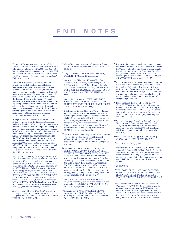## e n d n o t e s

- <sup>1</sup> For more information on this case, see *Feds' Terror Watch List Can Ruin Credit Report* (CBS-5 television broadcast, Oct. 17, 2006), *available at* http://cbs5.com/investigates/local\_story\_291012007. html; Nanette Kelley, *Routine Credit Check Uncovers* "*Son of Saddam Hussein*" *in Arcata*, ARCATA EYE, Sept. 5, 2006.
- $^2\,$  The few U.S. individuals or groups who are actually on the list would presumably learn of their designation prior to attempting an ordinary consumer transaction. New designations are publicly announced and often receive widespread press attention, especially when they involve U.S. persons. The complete OFAC list is available on the Treasury Department's website. (It can be found at www.treasury.gov/ofac under a link for the "Specially Designated Nationals" list). In addition, all assets of a designated person are frozen at financial institutions throughout the United States, putting organizations out of business and forcing individuals to obtain a government license to access their personal bank accounts.
- <sup>3</sup> In August 2005, the Lawyers' Committee for Civil Rights requested from the Treasury Department, under the Freedom of Information Act, any records pertaining to the number of complaints the department received from individuals mistakenly flagged by OFAC screening, the agency's policies and procedures for protecting the civil rights of individuals mistakenly flagged, and other records related to the OFAC list. The Treasury Department still has not furnished the requested records. However, on August 2, 2006, a senior OFAC compliance officer told LCCR that the agency did not separately track complaints from individuals and maintained no complaint mechanism for consumers mistakenly flagged by the watchlist.
- <sup>4</sup> *See*, *e.g.*, Sara Gebhardt, *Three Might Be a Crowd* – *Check the Occupancy Limits*, WASH. POST, Aug. 21, 2004, at T9; see also Nat'l Apartment Ass'n, *Specially Designated Nationals List Deserves Close Attention*, UNITS, Feb. 1, 2006, *available at* 2006 WLNR 3059580 (advising apartment owners to screen applicants); CHICAGOLAND APART-MENT ASSOCIATION, RESIDENT SCREENING: INFORMATION FOR OWNERS AND OPERATORS OF MULTI-FAMILY HOUSING, *available at* http:// www.caapts.org/ (same); *Screening out Terrorists*, LEGAL SURVIVAL NEWSL. (Legal Survivor, Akron, N.Y.) Winter 2006, *available at* www.legalsurvival. com/legal\_newsletters/Winter\_2006.html.
- <sup>5</sup> *See, e.g.*, Dennis Hevesi, *When the Credit Check Is Only the Start*, N.Y. TIMES, Oct. 12, 2003, § 11; Douglas Hanks III, *Credit Risk, Terror Risk*, MIAMI HERALD, July 6, 2003, at 1E.
- <sup>6</sup> Shaun Waterman, *Insurance Firms Scan Client Files For Terrorism Suspects*, WASH. TIMES, Nov. 22, 2003.
- <sup>7</sup> Amy Lee, *Blues, Aetna Help Hunt Terrorists*, DETROIT NEWS, Nov. 16, 2003, at 1A.
- <sup>8</sup> *See, e.g.*, Don Oldenburg, *Hit-and-Miss List*: *If You're in This Directory, Forget Shopping*, WASH. POST, Apr. 9, 2006, at F5; Kelly Hannon, *Identities Are Checked for Major Purchases*, FREDERICKS-BURG.COM, July 16, 2006; Jim Stickford, *Watchlist Still Confuses Many*, USED CAR NEWS, Aug. 7, 2006.
- <sup>9</sup> *See* Stickford, *supra*, and THOMAS HUDSON, CARLAW: A SOUTHERN ATTORNEY DELIVERS HUMOROUS PRACTICAL LEGAL ADVICE ON CAR SALES AND FINANCING (2006).
- <sup>10</sup> LCCR thanks Kamran Memon, a Chicago, Illinois civil rights attorney who represented Muhammad, for supplying this example. See also Muslim Civil Rights Center newsletter, May 2004, at http://www. mcrcnet.org/Reports/2004/052004/civilrights052004. htm (describing an incident in which another Illinois resident, whose last name was "Hussein, was told that he could not buy a car because of the OFAC alert on his credit report).
- <sup>11</sup> *See also* Chris Williams, *PayPal Freezes out British User in 'Terror' List Snafu*, THE REGISTER (United Kingdom), Aug. 18, 2006, *available at* http://www.theregister.co.uk/2006/08/18/paypal\_terror\_ban/.
- <sup>12</sup> *See* GOV'T ACCOUNTABILITY OFFICE, TER-RORIST WATCH LIST SCREENING: EFFORTS TO HELP REDUCE ADVERSE EFFECTS ON THE PUBLIC 1 (2006). These lists contain records drawn from a database operated by the Terrorist Screening Center (TSC), established in 2003 under the aegis of the Federal Bureau of Investigation. The TSC database is also used by U.S. Customs and Border Protection to screen travelers at U.S. ports of entry, by the State Department to screen visa applicants, and by state and local police in the course of routine traffic stops. *Id*. at 7-9, 14.
- <sup>13</sup> *See* TSA Our Traveler Identity Verification Program, www.tsa.gov/travelers/redress/index.shtm (last visited Jan. 8, 2006); GOV'T ACCOUNTABIL-ITY OFFICE, *supra* note 3, at 22.
- <sup>14</sup> *See, e.g.*, GOV'T ACCOUNTABILITY OFFICE, *supra* note 3, at 34, 43; Complaint at 32-34, Green v. Transp. Sec. Admin., 351 F. Supp. 2d 1119 (W.D. Wash. 2005) (No. C04-763Z).
- $^{15}\mathrm{Even}$  with the relatively small number of commercial airlines responsible for checking the no-fly lists, the Transportation Security Administration admits that air carriers are using the lists inconsistently; the agency now plans to take over passenger screening from private airlines. GOV'T ACCOUNT-ABILITY OFFICE, *supra* note 3, at 34-35.
- <sup>16</sup> Again, these figures represent the number of *names* associated with particular categories, rather than the number of distinct individuals or entities in each category. In addition, many entries are designated under two or more categories. For example, a foreign terrorist organization may also be listed as a specially designated terrorist and a specially designated global terrorist.
- <sup>17</sup> Exec. Order No. 13,224, 66 Fed. Reg. 49,079 (Sept. 23, 2001) (listing International Emergency Economic Powers Act, 50 U.S.C. § 1701 et seq., the National Emergencies Act, 50 U.S.C. § 1601 et seq., among other authorities as sources for order); *see also* 31 C.F.R. §§ 595.101-901 (implementing Exec. Order No. 13,224).
- <sup>18</sup> *See Humanitarian Law Project v. U.S. Dep't of Treasury*, 463 F. Supp. 2d 1049, 1069 (C.D. Cal. 2006) (citing statement by Barbara Hammerle, acting director of OFAC, that 375 individuals and entities were deemed specially designated global terrorists).
- <sup>19</sup> Exec. Order No. 13,224 §§ 2, 3(c), 66 Fed. Reg. 49,079 (Sept. 23, 2001); 31 C.F.R. 594.315.
- <sup>20</sup> 31 C.F.R. § 594.701(a) (2006).
- <sup>21</sup> *Humanitarian Law Project v. U.S. Dep't of Treasury*, 463 F. Supp. 2d 1049, 1066-67 (C.D. Cal. 2006). The Court contrasted the broad authority granted to the president in making designations with the greater constraints on the Secretary of the Treasury, and upheld the latter category of designations. *Id*. at 1065-66.
- <sup>22</sup> *Id*. at 1070-71.
- <sup>23</sup> JOHN ROTH, ET. AL., NAT'L COMM'N ON TER-RORIST ATTACKS UPON THE UNITED STATES: MONOGRAPH ON TERRORIST FINANCING: STAFF REPORT TO THE COMMISSION (2004) at 8, 50, 79.
- <sup>24</sup> *Id*. *See also* Jack Tapper, *A Post-9/11 American Nightmare*, SALON.COM, Sept. 4, 2002, http://dir. salon.com/story/news/feature/2002/09/04/jama/ index.html?pn=1 (describing ordeal of Somali American Garad Jama, who was designated under Executive Order 13224 for nine months before being removed from the list for lack of evidence).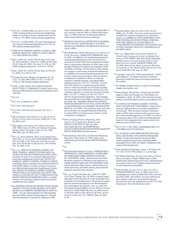- <sup>25</sup> 18 U.S.C. § 2339B (2004); *see also* 8 U.S.C. § 1189 (2004) (setting forth procedures for designating entities as foreign terrorist organizations) and 31 C.F.R. pt. 597 (2006) (implementing regulations).
- <sup>26</sup> 18 U.S.C. § 2332d (2002). *See also* Terrorism List Government Sanctions Regulations, 31 C.F.R. pt. 596 (implementing regulations).
- <sup>27</sup> OFFICE OF FOREIGN ASSETS CONTROL, TER-RORISM: WHAT YOU NEED TO KNOW ABOUT U.S. SANCTIONS 103 (2006).
- 28 Exec. Order No. 12,947, 60 Fed. Reg. 5,079 (Jan. 23, 1995) and Exec. Order No. 13,099, 63 Fed. Reg. 45,167 (Aug. 20, 1998). *See also* 31 C.F.R. pt. 595 (2006) (implementing Exec. Order No. 12,947).
- <sup>29</sup> Exec. Order No. 12,978, 60 Fed. Reg. 54,579 (Oct. 21, 1995); 31 C.F.R. pt. 536.
- <sup>30</sup> Foreign Narcotics Kingpin Designation Act, 21 U.S.C. §§ 1901-1908 (1999), 8 U.S.C. § 1182; 31 C.F.R. pt. 598 (implementing regulations).
- <sup>31</sup> OFAC, CUBA: WHAT YOU NEED TO KNOW ABOUT THE U.S. EMBARGO 1 (2004), http://www. treas.gov/offices/enforcement/ofac/programs/cuba/ cuba.pdf.

<sup>32</sup> *Id*. at 2.

<sup>33</sup> 21 U.S.C. § 1906(a)(1) (1999).

<sup>34</sup> 31 C.F.R. § 501.701(a)(1).

- <sup>35</sup> 31 C.F.R. § 594.701(a)(2) and (b); 18 U.S.C. § 3571(c).
- <sup>36</sup> Glenn Simpson, *Expanding in an Age of Terror*, *Western Union Faces Scrutiny*, WALL ST. J., Oct. 20, 2004, at A1.
- <sup>37</sup> Paul Adams, *Customers Face Banks' Scrutiny*, CHI. TRIB., Sept. 16, 2003, at 5; Richard Newman, *Bankers Share Feelings on Patriot Act*, THE RECORD, Apr. 28, 2004, at B3.
- <sup>38</sup> *See, e.g.*, Steve Johnson, *Mini-marts Required to Fight War on Terror*, SAN JOSE MERCURY NEWS, Dec. 26, 2004, at 1F; Toni Locy, *Anti-Terror Law Puts New Demands on Businesses*, USA TODAY, Feb. 26, 2004, at 5A.
- <sup>39</sup> *See, e.g.*, OFFICE OF FOREIGN ASSETS CON-TROL, FOREIGN ASSETS CONTROL REGULA-TIONS FOR THE SECURITIES INDUSTRY (2004), *available at* http://www.treas.gov/offices/enforcement/ofac/regulations/t11facsc.pdf; OFFICE OF FOREIGN ASSETS CONTROL, FOREIGN ASSETS CONTROL REGULATIONS AND THE INSURANCE INDUSTRY (2004), *available at* http://www.treas. gov/offices/enforcement/ofac/regulations/t11facin. pdf; OFFICE OF FOREIGN ASSETS CONTROL, PROTECTING OUR NATIONAL SECURITY: THE CRITICAL NATURE OF OFAC COMPLIANCE FOR MONEY SERVICE BUSINESSES (2004), *available at* http://www.treas.gov/offices/enforcement/ofac/ regulations/msb\_reg.pdf.
- <sup>40</sup> *See* FEDERAL FINANCIAL INSTITUTIONS EXAMI-NATION COUNCIL, BANK SECRECY ACT/ANTI-MONEY LAUNDERING EXAMINATION MANUAL (2006). *See also* Memorandum of Understanding between OFAC and the Federal Reserve, Federal Deposit Insurance Corporation, National Credit

Union Administration, Office of the Comptroller of the Currency, and the Office of Thrift Supervision (Apr. 12, 2006), http://www.ustreas.gov/offices/ enforcement/ofac/civpen/mou\_final.pdf.

- <sup>41</sup> FEDERAL FINANCIAL INSTITUTIONS EXAMINA-TION COUNCIL, BANK SECRECY ACT/ANTI-MONEY LAUNDERING EXAMINATION MANUAL 140-41 (2006).
- <sup>42</sup> Rick Rothacker, *Banks' Skirting of U.S. Sanctions Under Scrutiny*, CHARLOTTE OBSERVER, Sept. 22, 2006. In addition, new requirements imposed on financial institutions by the USA Patriot Act, enacted in October 2001, have led financial institutions to pay greater attention to OFAC rules, even though nothing in the Patriot Act mandates OFAC watchlist screening. Section 352(a) of the Patriot Act requires a wide range of financial institutions to establish anti-money laundering programs that include written internal policies and procedures, a designated compliance officer, an ongoing employee training program, and independent auditing measures. 31 U.S.C. § 5318(h). Section 326 of the Patriot Act requires financial institutions to verify the identity of customers opening new accounts and to determine whether any new customer appears on certain government terrorist lists. 31 U.S.C. § 5318(l); *see also* 31 C.F.R. § 103.121 (implementing regulation). Interestingly, this provision does not require companies to check the OFAC list. FEDERAL FINANCIAL INSTITU-TIONS EXAMINATION COUNCIL, BANK SECRECY ACT/ANTI-MONEY LAUNDERING EXAMINATION MANUAL 137 (2006). Nevertheless, these and other new laws have encouraged financial institutions to adopt OFAC screening as part of their overall "compliance" programs.
- <sup>43</sup> BNA, *Verifying Worker Eligibility, Identity Can Be Complicated*, *Speakers Say*, PRIVACY LAW WATCH, Mar. 29, 2006, http://subscript.bna.com/SAMPLES/pra. nsf/125731d8816a84d385256297005f336a/a8af615919 085257140000528a0?OpenDocument.
- <sup>44</sup> Press Release, Fact Sheet on Terrorist Financing Executive Order (Sept. 24, 2001), http://www. whitehouse.gov/news/releases/2001/09/20010924- 2.html.

<sup>45</sup> *Id*.

- <sup>46</sup> Discrimination Research Center, NAMES MAKE A DIFFERENCE: THE SCREENING OF RESUMES BY TEMPORARY EMPLOYMENT AGENCIES IN CALIFORNIA (2004). Researchers sent 6,000 fictitious resumes to California temp agencies of equally qualified applicants with identifiable Arab-American/South Asian, Latino, African-American, Asian-American, and white names, and measured response rates for each category.
- <sup>47</sup> *See, e.g.*, United Air Lines, Inc., Order No. 2003- 11-13 (Dep't Transp. Nov. 19, 2003) (consent order directing United Air Lines to cease and desist from violations of civil rights laws). Removals of passengers for reasons that appear to be discriminatory are continuing to the present. *See, e.g.*, Bob Van Sternberg & Pamela Miller, *Uproar Follows Imams' Detention*, STAR TRIBUNE, Nov. 21, 2006; Cicero A. Estrella, *Muslim Men Kicked Off Plane Accuse Airlines of Racism*, S.F. CHRON., Mar. 23, 2006, at B2.
- <sup>48</sup> Amanda Ripley, *Eyes and Ears of the Nation*, TIME, Jun. 27, 2004. For more on the government's recruitment of private businesses in counterterrorism, *see* AMERICAN CIVIL LIBERTIES UNION, THE SURVEILLANCE-INDUSTRIAL COMPLEX: HOW THE AMERICAN GOVERNMENT IS CONSCRIPTING BUSINESSES AND INDIVIDUALS IN THE CONSTRUCTION OF A SURVEILLANCE SOCIETY (2004).
- <sup>49</sup> *See, e.g.*, Hilary Russ, *Leave Home Without It: Credit Card Companies Cancel on Muslim New Yorkers*, CITY LIMITS, May 2003; Kathy Hanrahan, *Middle Eastern Customers Seek Answers after Bank Accounts Closed*, DETROIT NEWS, Dec. 18, 2004; Mark Jewell, *Bank of America Resolves Complaints of Anti-Muslim Bias By Former Fleet Bank*, BOSTON.COM, Apr. 12, 2006.
- <sup>50</sup> A "google" search for "OFAC and landlord," "OFAC and employer," or similar searches by industry generates results for many screening products on the market.
- <sup>51</sup> *See* Bridger Insight website, at http://www.bridgerinsight.choicepoint.com/.
- <sup>52</sup> Press Release, TransUnion, TransUnion and TFP Align to Offer New Product for USA Patriot Act Compliance (Sept. 18, 2002), http://newsroom.transunion.com/index.php?s=press\_releases&item=311.
- <sup>53</sup> *See* OFFICE OF FOREIGN ASSETS CONTROL, OFAC UPDATE FOR CONSUMERS, *at* http://www. treas.gov/offices/enforcement/ofac/regulations/ t11cons.pdf. This document advises consumers with an OFAC alert on their credit reports to ask the credit reporting agencies, not OFAC, to remove an improper alert; some credit reporting agencies, however, tell consumers they cannot remove the alert because of OFAC rules.
- <sup>54</sup> *See* 6 U.S.C. § 345 (2004) (establishing Officer for Civil Rights and Civil Liberties).
- <sup>55</sup> *See* AVIATION CONSUMER PROTECTION DIVI-SION, AIR TRAVEL CIVIL RIGHTS PROBLEMS (2002), *at* http://airconsumer.ost.dot.gov/DiscrimComplaintsContacts.htm (advising airline passengers how to file civil rights complaints with various federal agencies).
- <sup>56</sup> Joint Anti-Fascist Refugee Comm. v. McGrath, 341 U.S. 123, 144-45 (1951) (Black, J., concurring).
- <sup>57</sup> *See* Shaun Waterman, *Trucker Case Shows Vetting Redress Problem*, WASH. TIMES, Mar. 6, 2005 (stating that Transportation Security Administration ran a name check on 2.7 million truckers licensed to carry hazardous materials).
- <sup>58</sup> Scott Jaschik, *Are You Now or Have You Ever…*, INSIDE HIGHER ED, Aug. 15, 2006, http://www. insidehighered.com/news/2006/08/15/oath (describing Ohio public universities' new job requirement that employees fill out a form disclaiming any involvement with any organization on the U.S. State Department "Terrorist Exclusion List").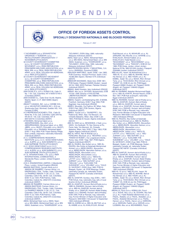

#### **OFFICE OF FOREIGN ASSETS CONTROL** SPECIALLY DESIGNATED NATIONALS AND BLOCKED PERSONS

February 27, 2007

- 17 NOVEMBER (a.k.a. EPANASTATIKI<br>ORGANOSI 17 NOEMVRI; a.k.a. REVOLUTIONARY ORGANIZATION 17
- NOVEMBER) [FTO] [SDGT]<br>32 COUNTY SOVEREIGNTY COMMITTEE<br>(a.k.a. 32 COUNTY SOVEREIGNTY MOVEMENT; a.k.a. IRISH REPUBLICAN PRISONERS WELFARE ASSOCIATION; a.k.a. REAL IRA; a.k.a. REAL IRISH REPUBLICAN ARMY; a.k.a. REAL OGLAIGH NA HEIREANN;<br>a.k.a. RIRA) [FTO] [SDGT]<br>32 COUNTY SOVEREIGNTY MOVEMENT
- (a.k.a. 32 COUNTY SOVEREIGNTY COMMITTEE; a.k.a. IRISH REPUBLICAN PRISONERS WELFARE ASSOCIATION; a.k.a.<br>REAL IRA; a.k.a. REAL IRISH REPUBLICAN<br>ARMY; a.k.a. REAL OGLAIGH NA HEIREANN; a.k.a. RIRA) [FTO] [SDGT]
- 2000 DOSE E.U. (a.k.a. DOMA E M), Calle 31 No. 1-34, Cali, Colombia; NIT # 805015749-3
- Colombia) [SDNT]<br>2000-DODGE S.L., Calle Gran Via 80, Madrid,<br>Madrid, Spain; C.I.F. B83149955 (Spain) **ISDNTI**
- 2904977 CANADA, INC. (a.k.a. CARIBE SOL;<br>a.k.a. HAVANTUR CANADA INC.), 818 rue Sherbrooke East, Montreal, Quebec H2L 1K3, Canada [CUBA]
- A G REPRESENTACIONES LTDA., Calle 22 Norte No. 9-43, Cali, Colombia; Calle 20N No. 5N-26 Of. 102, Cali, Colombia; NIT #<br>800132578-3 (Colombia) [SDNT]
- A RAHMAN, Mohamad Igbal (a.k.a. ABDURRAHMAN, Abu Jibril; a.k.a. ABDURRAHMAN, Mohamad Iqbal; a.k.a. ABU JIBRIL; a.k.a. MUQTI, Fihiruddin; a.k.a. MUQTI,<br>Fikiruddin; a.k.a. RAHMAN, Mohamad Iqbal);<br>DOB 17 Aug 1958; POB Tirpas-Selong Village, East Lombok, Indonesia; nationality Indonesia (individual) [SDGT]
- A.I.C. COMPREHENSIVE RESEARCH INSTITUTE (a.k.a. A.I.C. SOGO KENKYUSHO;<br>a.k.a. ALEPH; a.k.a. AUM SHINRIKYO; a.k.a. AUM SUPREME TRUTH) [FTO] [SDGT]
- A.I.C. SOGO KENKYUSHO (a.k.a. A.I.C COMPREHENSIVE RESEARCH INSTITUTE; a.k.a. ALEPH; a.k.a. AUM SHINRIKYO; a.k.a.<br>AUM SUPREME TRUTH) [FTO] [SDGT] A.T.E. INTERNATIONAL LTD. (a.k.a. RWR
- INTERNATIONAL COMMODITIES), 3 Mandeville Place, London, United Kingdom **IIRAQ21**
- A.W.A. ENGINEERING LIMITED, 3 Mandeville Place, London, United Kingdom [IRAQ2]
- ABADIA BASTIDAS, Carmen Alicia (a.k.a. ABADIA DE RAMIREZ, Carmen Alicia), c/o<br>DISDROGAS LTDA., Yumbo, Valle, Colombia;<br>c/o RAMIREZ ABADIA Y CIA. S.C.S., Cali, Colombia; Calle 9 No. 39-65, Cali, Colombia; DOB 15 Jul 1934; POB Palmira, Valle, Colombia; Cedula No. 29021074 (Colombia)
- (individual) [SDNT]<br>ABADIA DE RAMIREZ, Carmen Alicia (a.k.a.<br>ABADIA BASTIDAS, Carmen Alicia), c/o<br>DISDROGAS LTDA., Yumbo, Valle, Colombia; c/o RAMIREZ ABADIA Y CIA. S.C.S., Cali, Colombia; Calle 9 No. 39-65, Cali, Colombia;<br>DOB 15 Jul 1934; POB Palmira, Valle, Colombia; Cedula No. 29021074 (Colombia) (individual) [SDNT]
- ABAS, Mohamad Nasir (a.k.a. ABAS, Nasir; a.k.a. BIN ABAS, Mohammed Nasir; a.k.a. BIN<br>ABAS, Sulaiman; a.k.a. "KHAIRUDDIN"; a.k.a.
- "SOLIMAN"): DOB 6 May 1969: nationality Malaysia (individual) [SDGT] ABAS, Nasir (a.k.a. ABAS, Mohamad Nasir;
- a.k.a. BIN ABAS, Mohammed Nasir; a.k.a. BIN<br>ABAS, Sulaiman; a.k.a. "KHAIRUDDIN"; a.k.a.<br>"SOLIMAN"); DOB 6 May 1969; nationality Malaysia (individual) [SDGT]
- ABASTECEDORA NAVAL Y INDUSTRIAL, S.A. (a.k.a. ANAINSA), Panama [CUBA]
- ABAUNZA MARTINEZ, Javier; DOB 1 Jan 1965;<br>POB Guernica, Vizcaya Province, Spain; D.N.I. 78.865.882 (Spain); Member ETA (individual) **ISDGTI**
- ABBAKAR MUHAMAD, Abdul Aziz; DOB 1961; POB Sudan; Passport 562605 (Sudan) issued<br>28 Oct 1998; IARA Peshwar, Pakistan Director (individual) [SDGT]
- ABBAS, Abdul Hussein, Italy (individual) [IRAQ2] ABBAS, Abu (a.k.a. ZAYDAN, Muhammad); DOB
- 10 Dec 1948; Director of PALESTINE<br>LIBERATION FRONT ABU ABBAS FACTION (individual) ISDTI
- ABBAS, Kassim, Lerchesbergring 23A, D-60598,<br>Frankfurt, Germany; DOB 7 Aug 1956; POB Baghdad, Iraq (individual) [IRAQ2]
- ABBES, Moustafa, Via Padova, 82, Milan, Italy;<br>DOB 5 Feb 1962; POB Osniers, Algeria (individual) [SDGT]
- ABBES, Youcef (a.k.a. "GIUSEPPE"), Via Padova 82, Milan, Italy; Via Manzoni, 33, Cinisello Balsamo, Milan, Italy; DOB 5 Jan 1965; POB Bab El Aoued, Algeria (individual) [SDGT]
- ABD AL HADI (a.k.a. BENDEBKA, L'Hadi; a.k.a. HADI), Via Garibaldi, 70, San Zenone al Po, HADI, wa danibalani, 70, 3an Zehibela<br>Pavia, Italy; Via Manzoni, 33, Cinisello<br>Balsamo, Milan, Italy; DOB 17 Nov 1963; POB<br>Algiers Algeria (individual) [SDGT]<br>ABD AL HAFIZ, Abd Al Wahab (a.k.a.
- FERDJANI, Mouloud; a.k.a. "MOURAD"; a.k.a. "RABAH DI ROMA"), Via Lungotevere Dante,<br>Rome, Italy; DOB 7 Sep 1967; POB Algiers,<br>Algeria (individual) [SDGT]
- ABD AL RAZEQ, Abu Sufian (a.k.a. 'ABD AL-RAZZIQ, Abu Sufian al-Salamabi Muhammed Ahmed; a.k.a. ABDELRAZEK, Abousofian;<br>a.k.a. ABDELRAZIK, Abousfian Salman; a.k.a. ABDELRAZIK, Abousofian; a.k.a.<br>ABDELRAZIK, Abousofian; a.k.a. ABDELHAZIK, Abousoitane; a.k.a. "ABOL EL<br>LAYTH"; a.k.a. "ABOULAIL"; a.k.a. "ABOU EL<br>JUIRIAH"; a.k.a. "ABOULAIL"; a.k.a. "ABU<br>JUIRIAH"; a.k.a. "ABU SUFIAN"; a.k.a.<br>"ABULAIL"; a.k.a. "JOJAIBA THE SUDANESE"; a.k.a. "JOLAIBA"; Bawgah, Sudan;; alt. POB Albaouga, Sudan; nationality Canada; alt. nationality Sudan;<br>Passport BC166787 (Canada) (individual) [SDGT]
- ABD AL-GHAFAR, Sundus, Iraq; DOB c. 1967; POB Kirkuk, Iraq; nationality Iraq; wife of Izzat
- Ibrahim Al-Duri (individual) [IRAQ2]<br>ABD AL-GHAFUR, Humam Abd al-Khaliq (a.k.a.<br>"ABD AL-RAHMAN, Humam 'abd al-Khaliq; a.k.a. ABD-AL-GHAFUR, Humam abd-al-Khaliq; a.k.a. GHAFUR, Humam Abdel Khaleq Abdel; a.k.a. RASHID, Humam 'abd al-Khaliq); DOB 1945; POB ar-Ramadi, Iraq; nationality<br>Iraq; Former Minister of Higher Education and Research; M0018061/104, issued 12 September 1993 (individual) [IRAQ2]
- 'ABD AL-KARIM (a.k.a. ABU AL-MU'TAZ; a.k.a. AL-HABIB; a.k.a. AL-KHALAYLAH, Ahmad

Fadil Nazzal; a.k.a. AL-MUHAJIR; a.k.a. AL-ZARQAWI, Abu Mus'Ab; a.k.a. GHARIB; a.k.a. KHALAILAH, Ahmed Fadeel; a.k.a. KHALAYLEH, Fedel Nazzel; a.k.a. WAD HANAD"; a.k.a. "MOUHANNAD"; a.k.a.<br>"MUHANNAD"; a.k.a. "MOUHANNAD"; a.k.a.<br>"MUHANNAD"; a.k.a. "RASHID"); DOB 20 Oct<br>1966; POB Zarqa, Jordan; citizen Jordan; National ID No. 9661031030 (Jordan); Passport Z264968 (Jordan) (individual) [SDGT]

- "ABD ALLAH, "Issam "Ali Muhammad (a.k.a.<br>"ABD-AL-"IZ; a.k.a. ABD-AL-WAHAB, Abd-al-<br>Hai Ahmad; a.k.a. ABU YASIR; a.k.a. AL-KAMEL, Salah 'Ali; a.k.a. MUSA, Rifa'i Ahmad Taha; a.k.a. TAHA MUSA, Rifa'i Ahmad; a.k.a. THABIT 'IZ); DOB 24 Jun 54; POB Egypt;<br>Passport 83860 (Sudan); alt. Passport 30455<br>(Egypt); alt. Passport 1046403 (Egypt) (individual) [SDT]
- ABD AL-RAHMAN, Abdullah Muhammad Rajab Ca.k.a. ABU AL-KHAYR, Ahmad Hasan); DOB 3<br>Nov 1957; POB Kafr al-Shaykh; nationality<br>Egypt (individual) [SDGT]
- ABD AL-RAHMAN, Humam 'abd al-Khaliq (a.k.a. ABD AL-GHAFUR, Humam Abd al-Khaliq; a.k.a. ABD-AL-GHAFUR, Humam abd-al-Enalig; a.k.a. GHAFUR, Humam Abdel Khaleq<br>Abdel; a.k.a. GHAFUR, Humam 'abd al-Khaliq);<br>DOB 1945; POB ar-Ramadi, Iraq; nationality Iraq; Former Minister of Higher Education and Research; M0018061/104, issued 12 September 1993 (individual) [IRAQ2]<br>'ABD AL-RAZZIQ, Abu Sufian al-Salamabi
- Muhammed Ahmed (a.k.a. ABD AL RAZEQ, Abu Sufian; a.k.a. ABDELRAZEK, Abousofian; a.k.a. ABDELRAZIK, Abousfian Salman; a.k.a. ARA ADDELHAZIK, Abousofian; a.k.a.<br>ABDELHAZIK, Abousofian; a.k.a.<br>ABDELHAZIK, Abousofiane; a.k.a.<br>ABDELHAZIK, Sofian; a.k.a. "ABOU EL<br>LAYTH"; a.k.a. "ABOULAIL"; a.k.a. "ABU LATTER, alkal ABU SUFIAN, alkal ABU<br>JURIAH", alkal ABU SUFIAN", alkal ABU<br>"ABULAIL", alkal "DJOLAIBA THE<br>SUDANESE", alkal "JOLAIBA", alk.al "OULD<br>EL SAYEIGH"); DOB 6 Aug 1962; POB Al-<br>Bawgah, Sudan;; alt. POB Albaouga, Sud nationality Canada; alt. nationality Sudan; Passport BC166787 (Canada) (individual)
- [SDGT]<br>ABD-AL-GHAFUR, Humam abd-al-Khaliq (a.k.a. ABD AL-GHAFUR, Humam Abd al-Khalig; a.k.a. 'ABD AL-RAHMAN, Humam 'abd al-Khaliq; a.k.a. GHAFUR, Humam Abdel Khaleq Abdel; a.k.a. RASHID, Humam 'abd al-Khaliq);<br>DOB 1945; POB ar-Ramadi, Iraq; nationality Iraq: Former Minister of Higher Education and Research; M0018061/104, issued 12 September 1993 (individual) [IRAQ2]
- "NOD (iiidiwaaday jiraysay ABD ALLAH, 'Issam 'Ali<br>Muhammad; a.k.a. ABD ALLAH, 'Issam 'Ali<br>Hai Ahmad; a.k.a. ABD YASIR; a.k.a. AL-KAMEL, Salah 'Ali; a.k.a. MUSA, Rifa'i Ahmad Taha; a.k.a. TAHA MUSA, Rifa'i Ahmad; a.k.a. THABIT 'IZ); DOB 24 Jun 54; POB Egypt;<br>Passport 83860 (Sudan); alt. Passport 30455<br>(Egypt); alt. Passport 1046403 (Egypt) (individual) [SDT]
- ABDALLA, Fazul (a.k.a. ADBALLAH, Fazul; a.k.a. AISHA, Abu; a.k.a. AL SUDANI, Abu Seif; a.k.a. ALI, Fadel Abdallah Mohammed; a.k.a. a.K.a. ALI, Tader Abdallari Monammed, a.K.a.<br>FAZUL, Abdalla; a.k.a. FAZUL, Abdallah; a.k.a.<br>FAZUL, Abdallah Mohammed; a.k.a. FAZUL, Haroon; a.k.a. FAZUL, Harun; a.k.a. HAROON; a.k.a. HAROUN, Fadhil; a.k.a. HARUN; a.k.a. LUQMAN, Abu; a.k.a. MOHAMMED, Fazul;